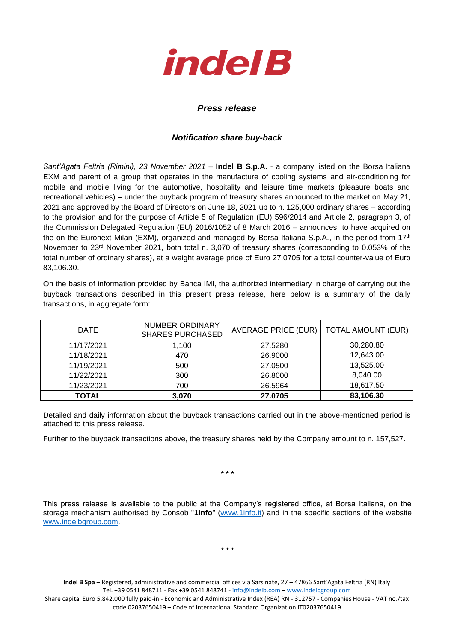

## *Press release*

## *Notification share buy-back*

*Sant'Agata Feltria (Rimini), 23 November 2021* – **Indel B S.p.A.** - a company listed on the Borsa Italiana EXM and parent of a group that operates in the manufacture of cooling systems and air-conditioning for mobile and mobile living for the automotive, hospitality and leisure time markets (pleasure boats and recreational vehicles) – under the buyback program of treasury shares announced to the market on May 21, 2021 and approved by the Board of Directors on June 18, 2021 up to n. 125,000 ordinary shares – according to the provision and for the purpose of Article 5 of Regulation (EU) 596/2014 and Article 2, paragraph 3, of the Commission Delegated Regulation (EU) 2016/1052 of 8 March 2016 – announces to have acquired on the on the Euronext Milan (EXM), organized and managed by Borsa Italiana S.p.A., in the period from 17<sup>th</sup> November to 23<sup>rd</sup> November 2021, both total n. 3,070 of treasury shares (corresponding to 0.053% of the total number of ordinary shares), at a weight average price of Euro 27.0705 for a total counter-value of Euro 83,106.30.

On the basis of information provided by Banca IMI, the authorized intermediary in charge of carrying out the buyback transactions described in this present press release, here below is a summary of the daily transactions, in aggregate form:

| <b>DATE</b>  | NUMBER ORDINARY<br><b>SHARES PURCHASED</b> | AVERAGE PRICE (EUR) | <b>TOTAL AMOUNT (EUR)</b> |
|--------------|--------------------------------------------|---------------------|---------------------------|
| 11/17/2021   | 1,100                                      | 27.5280             | 30,280.80                 |
| 11/18/2021   | 470                                        | 26.9000             | 12,643.00                 |
| 11/19/2021   | 500                                        | 27.0500             | 13,525.00                 |
| 11/22/2021   | 300                                        | 26.8000             | 8,040.00                  |
| 11/23/2021   | 700                                        | 26.5964             | 18,617.50                 |
| <b>TOTAL</b> | 3,070                                      | 27.0705             | 83,106.30                 |

Detailed and daily information about the buyback transactions carried out in the above-mentioned period is attached to this press release.

Further to the buyback transactions above, the treasury shares held by the Company amount to n. 157,527.

\* \* \*

This press release is available to the public at the Company's registered office, at Borsa Italiana, on the storage mechanism authorised by Consob "**1info**" [\(www.1info.it\)](file:///C:/Users/ddelietovollaro/AppData/Local/Microsoft/Windows/INetCache/Content.Outlook/T87B94UR/www.1info.it) and in the specific sections of the website [www.indelbgroup.com.](http://www.indelbgroup.com/)

\* \* \*

**Indel B Spa** – Registered, administrative and commercial offices via Sarsinate, 27 – 47866 Sant'Agata Feltria (RN) Italy Tel. +39 0541 848711 - Fax +39 0541 848741 - [info@indelb.com](mailto:info@indelb.com) – [www.indelbgroup.com](http://www.indelbgroup.com/) Share capital Euro 5,842,000 fully paid-in - Economic and Administrative Index (REA) RN - 312757 - Companies House - VAT no./tax code 02037650419 – Code of International Standard Organization IT02037650419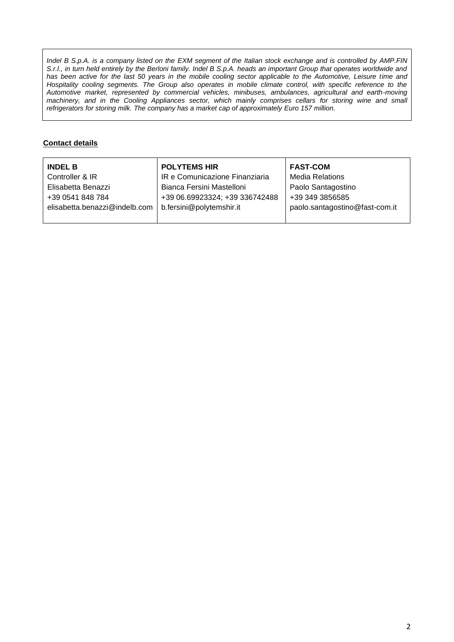*Indel B S.p.A. is a company listed on the EXM segment of the Italian stock exchange and is controlled by AMP.FIN S.r.l., in turn held entirely by the Berloni family. Indel B S.p.A. heads an important Group that operates worldwide and* has been active for the last 50 years in the mobile cooling sector applicable to the Automotive, Leisure time and Hospitality cooling segments. The Group also operates in mobile climate control, with specific reference to the *Automotive market, represented by commercial vehicles, minibuses, ambulances, agricultural and earth-moving machinery, and in the Cooling Appliances sector, which mainly comprises cellars for storing wine and small refrigerators for storing milk. The company has a market cap of approximately Euro 157 million.*

## **Contact details**

| <b>INDEL B</b>                | <b>POLYTEMS HIR</b>            | <b>FAST-COM</b>                |
|-------------------------------|--------------------------------|--------------------------------|
| Controller & IR               | IR e Comunicazione Finanziaria | <b>Media Relations</b>         |
| Elisabetta Benazzi            | Bianca Fersini Mastelloni      | Paolo Santagostino             |
| +39 0541 848 784              | +39 06.69923324; +39 336742488 | +39 349 3856585                |
| elisabetta.benazzi@indelb.com | b.fersini@polytemshir.it       | paolo.santagostino@fast-com.it |
|                               |                                |                                |